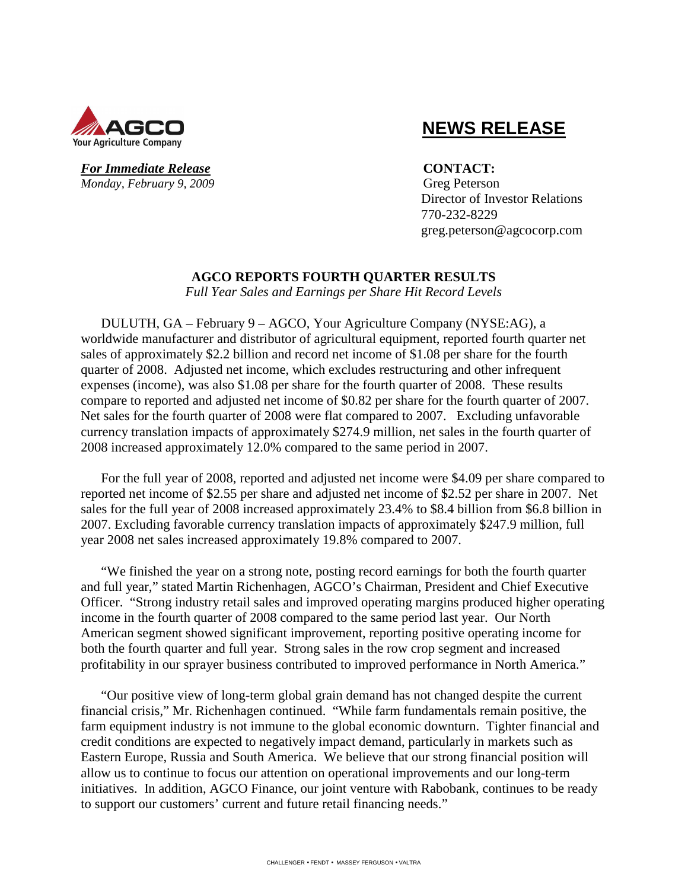

### *For Immediate Release* **CONTACT:** *Monday, February 9, 2009* Greg Peterson

# **NEWS RELEASE**

 Director of Investor Relations 770-232-8229 greg.peterson@agcocorp.com

# **AGCO REPORTS FOURTH QUARTER RESULTS**

*Full Year Sales and Earnings per Share Hit Record Levels* 

DULUTH, GA – February 9 – AGCO, Your Agriculture Company (NYSE:AG), a worldwide manufacturer and distributor of agricultural equipment, reported fourth quarter net sales of approximately \$2.2 billion and record net income of \$1.08 per share for the fourth quarter of 2008. Adjusted net income, which excludes restructuring and other infrequent expenses (income), was also \$1.08 per share for the fourth quarter of 2008. These results compare to reported and adjusted net income of \$0.82 per share for the fourth quarter of 2007. Net sales for the fourth quarter of 2008 were flat compared to 2007. Excluding unfavorable currency translation impacts of approximately \$274.9 million, net sales in the fourth quarter of 2008 increased approximately 12.0% compared to the same period in 2007.

For the full year of 2008, reported and adjusted net income were \$4.09 per share compared to reported net income of \$2.55 per share and adjusted net income of \$2.52 per share in 2007. Net sales for the full year of 2008 increased approximately 23.4% to \$8.4 billion from \$6.8 billion in 2007. Excluding favorable currency translation impacts of approximately \$247.9 million, full year 2008 net sales increased approximately 19.8% compared to 2007.

"We finished the year on a strong note, posting record earnings for both the fourth quarter and full year," stated Martin Richenhagen, AGCO's Chairman, President and Chief Executive Officer. "Strong industry retail sales and improved operating margins produced higher operating income in the fourth quarter of 2008 compared to the same period last year. Our North American segment showed significant improvement, reporting positive operating income for both the fourth quarter and full year. Strong sales in the row crop segment and increased profitability in our sprayer business contributed to improved performance in North America."

"Our positive view of long-term global grain demand has not changed despite the current financial crisis," Mr. Richenhagen continued. "While farm fundamentals remain positive, the farm equipment industry is not immune to the global economic downturn. Tighter financial and credit conditions are expected to negatively impact demand, particularly in markets such as Eastern Europe, Russia and South America. We believe that our strong financial position will allow us to continue to focus our attention on operational improvements and our long-term initiatives. In addition, AGCO Finance, our joint venture with Rabobank, continues to be ready to support our customers' current and future retail financing needs."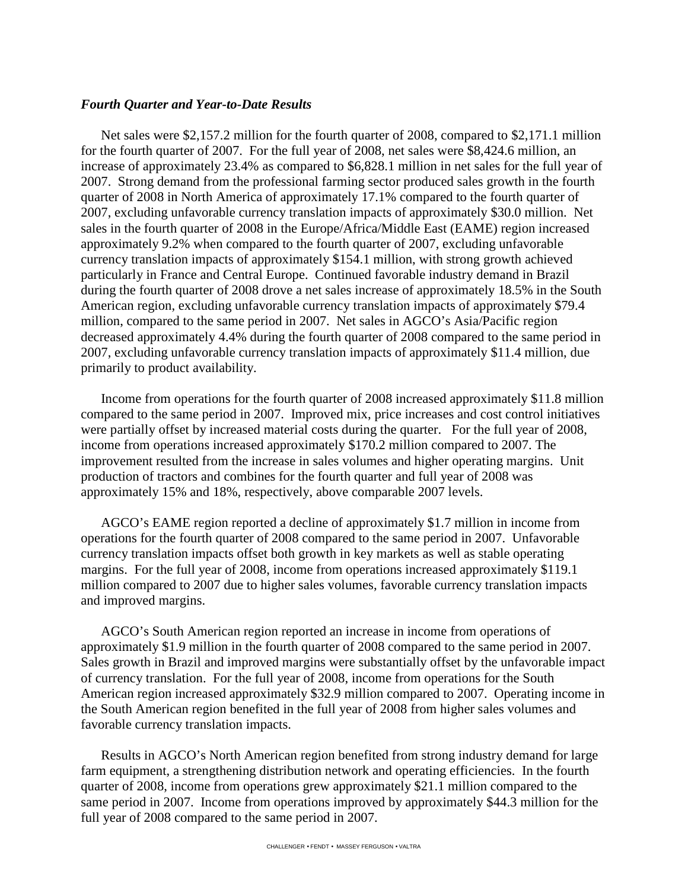### *Fourth Quarter and Year-to-Date Results*

Net sales were \$2,157.2 million for the fourth quarter of 2008, compared to \$2,171.1 million for the fourth quarter of 2007. For the full year of 2008, net sales were \$8,424.6 million, an increase of approximately 23.4% as compared to \$6,828.1 million in net sales for the full year of 2007. Strong demand from the professional farming sector produced sales growth in the fourth quarter of 2008 in North America of approximately 17.1% compared to the fourth quarter of 2007, excluding unfavorable currency translation impacts of approximately \$30.0 million. Net sales in the fourth quarter of 2008 in the Europe/Africa/Middle East (EAME) region increased approximately 9.2% when compared to the fourth quarter of 2007, excluding unfavorable currency translation impacts of approximately \$154.1 million, with strong growth achieved particularly in France and Central Europe. Continued favorable industry demand in Brazil during the fourth quarter of 2008 drove a net sales increase of approximately 18.5% in the South American region, excluding unfavorable currency translation impacts of approximately \$79.4 million, compared to the same period in 2007. Net sales in AGCO's Asia/Pacific region decreased approximately 4.4% during the fourth quarter of 2008 compared to the same period in 2007, excluding unfavorable currency translation impacts of approximately \$11.4 million, due primarily to product availability.

Income from operations for the fourth quarter of 2008 increased approximately \$11.8 million compared to the same period in 2007. Improved mix, price increases and cost control initiatives were partially offset by increased material costs during the quarter. For the full year of 2008, income from operations increased approximately \$170.2 million compared to 2007. The improvement resulted from the increase in sales volumes and higher operating margins. Unit production of tractors and combines for the fourth quarter and full year of 2008 was approximately 15% and 18%, respectively, above comparable 2007 levels.

AGCO's EAME region reported a decline of approximately \$1.7 million in income from operations for the fourth quarter of 2008 compared to the same period in 2007. Unfavorable currency translation impacts offset both growth in key markets as well as stable operating margins. For the full year of 2008, income from operations increased approximately \$119.1 million compared to 2007 due to higher sales volumes, favorable currency translation impacts and improved margins.

AGCO's South American region reported an increase in income from operations of approximately \$1.9 million in the fourth quarter of 2008 compared to the same period in 2007. Sales growth in Brazil and improved margins were substantially offset by the unfavorable impact of currency translation. For the full year of 2008, income from operations for the South American region increased approximately \$32.9 million compared to 2007. Operating income in the South American region benefited in the full year of 2008 from higher sales volumes and favorable currency translation impacts.

Results in AGCO's North American region benefited from strong industry demand for large farm equipment, a strengthening distribution network and operating efficiencies. In the fourth quarter of 2008, income from operations grew approximately \$21.1 million compared to the same period in 2007. Income from operations improved by approximately \$44.3 million for the full year of 2008 compared to the same period in 2007.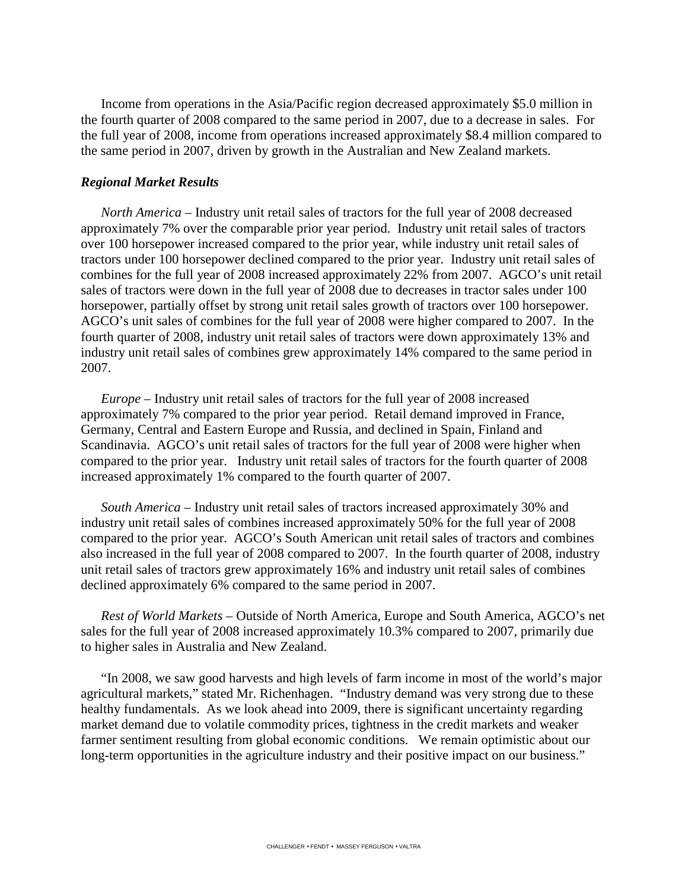Income from operations in the Asia/Pacific region decreased approximately \$5.0 million in the fourth quarter of 2008 compared to the same period in 2007, due to a decrease in sales. For the full year of 2008, income from operations increased approximately \$8.4 million compared to the same period in 2007, driven by growth in the Australian and New Zealand markets.

#### *Regional Market Results*

*North America* – Industry unit retail sales of tractors for the full year of 2008 decreased approximately 7% over the comparable prior year period. Industry unit retail sales of tractors over 100 horsepower increased compared to the prior year, while industry unit retail sales of tractors under 100 horsepower declined compared to the prior year. Industry unit retail sales of combines for the full year of 2008 increased approximately 22% from 2007. AGCO's unit retail sales of tractors were down in the full year of 2008 due to decreases in tractor sales under 100 horsepower, partially offset by strong unit retail sales growth of tractors over 100 horsepower. AGCO's unit sales of combines for the full year of 2008 were higher compared to 2007. In the fourth quarter of 2008, industry unit retail sales of tractors were down approximately 13% and industry unit retail sales of combines grew approximately 14% compared to the same period in 2007.

*Europe –* Industry unit retail sales of tractors for the full year of 2008 increased approximately 7% compared to the prior year period. Retail demand improved in France, Germany, Central and Eastern Europe and Russia, and declined in Spain, Finland and Scandinavia. AGCO's unit retail sales of tractors for the full year of 2008 were higher when compared to the prior year. Industry unit retail sales of tractors for the fourth quarter of 2008 increased approximately 1% compared to the fourth quarter of 2007.

*South America –* Industry unit retail sales of tractors increased approximately 30% and industry unit retail sales of combines increased approximately 50% for the full year of 2008 compared to the prior year. AGCO's South American unit retail sales of tractors and combines also increased in the full year of 2008 compared to 2007. In the fourth quarter of 2008, industry unit retail sales of tractors grew approximately 16% and industry unit retail sales of combines declined approximately 6% compared to the same period in 2007.

*Rest of World Markets –* Outside of North America, Europe and South America, AGCO's net sales for the full year of 2008 increased approximately 10.3% compared to 2007, primarily due to higher sales in Australia and New Zealand.

"In 2008, we saw good harvests and high levels of farm income in most of the world's major agricultural markets," stated Mr. Richenhagen. "Industry demand was very strong due to these healthy fundamentals. As we look ahead into 2009, there is significant uncertainty regarding market demand due to volatile commodity prices, tightness in the credit markets and weaker farmer sentiment resulting from global economic conditions. We remain optimistic about our long-term opportunities in the agriculture industry and their positive impact on our business."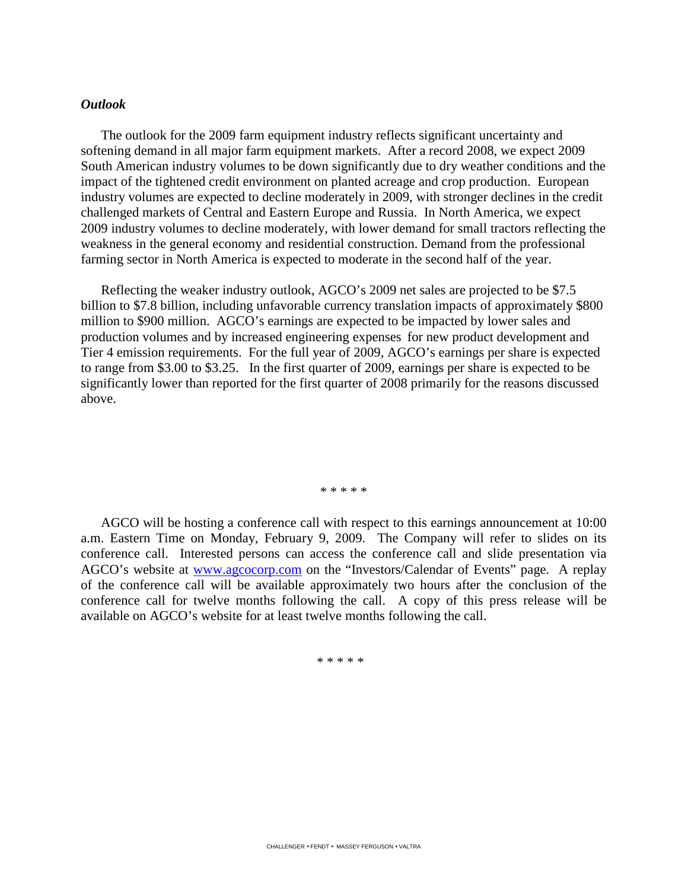### *Outlook*

The outlook for the 2009 farm equipment industry reflects significant uncertainty and softening demand in all major farm equipment markets. After a record 2008, we expect 2009 South American industry volumes to be down significantly due to dry weather conditions and the impact of the tightened credit environment on planted acreage and crop production. European industry volumes are expected to decline moderately in 2009, with stronger declines in the credit challenged markets of Central and Eastern Europe and Russia. In North America, we expect 2009 industry volumes to decline moderately, with lower demand for small tractors reflecting the weakness in the general economy and residential construction. Demand from the professional farming sector in North America is expected to moderate in the second half of the year.

Reflecting the weaker industry outlook, AGCO's 2009 net sales are projected to be \$7.5 billion to \$7.8 billion, including unfavorable currency translation impacts of approximately \$800 million to \$900 million. AGCO's earnings are expected to be impacted by lower sales and production volumes and by increased engineering expenses for new product development and Tier 4 emission requirements. For the full year of 2009, AGCO's earnings per share is expected to range from \$3.00 to \$3.25. In the first quarter of 2009, earnings per share is expected to be significantly lower than reported for the first quarter of 2008 primarily for the reasons discussed above.

\* \* \* \* \*

AGCO will be hosting a conference call with respect to this earnings announcement at 10:00 a.m. Eastern Time on Monday, February 9, 2009. The Company will refer to slides on its conference call. Interested persons can access the conference call and slide presentation via AGCO's website at www.agcocorp.com on the "Investors/Calendar of Events" page. A replay of the conference call will be available approximately two hours after the conclusion of the conference call for twelve months following the call. A copy of this press release will be available on AGCO's website for at least twelve months following the call.

\* \* \* \* \*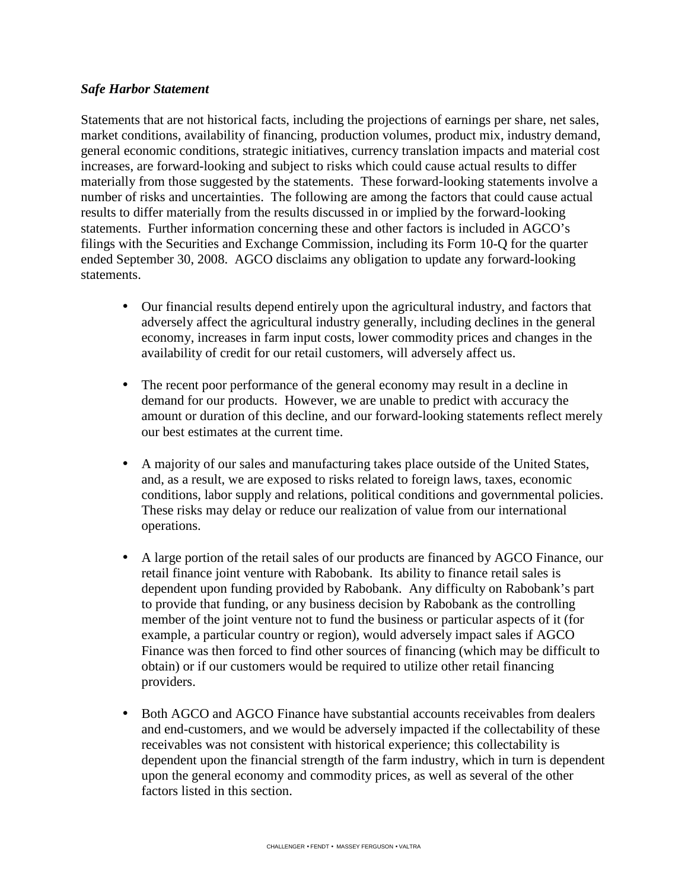### *Safe Harbor Statement*

Statements that are not historical facts, including the projections of earnings per share, net sales, market conditions, availability of financing, production volumes, product mix, industry demand, general economic conditions, strategic initiatives, currency translation impacts and material cost increases, are forward-looking and subject to risks which could cause actual results to differ materially from those suggested by the statements. These forward-looking statements involve a number of risks and uncertainties. The following are among the factors that could cause actual results to differ materially from the results discussed in or implied by the forward-looking statements. Further information concerning these and other factors is included in AGCO's filings with the Securities and Exchange Commission, including its Form 10-Q for the quarter ended September 30, 2008. AGCO disclaims any obligation to update any forward-looking statements.

- Our financial results depend entirely upon the agricultural industry, and factors that adversely affect the agricultural industry generally, including declines in the general economy, increases in farm input costs, lower commodity prices and changes in the availability of credit for our retail customers, will adversely affect us.
- The recent poor performance of the general economy may result in a decline in demand for our products. However, we are unable to predict with accuracy the amount or duration of this decline, and our forward-looking statements reflect merely our best estimates at the current time.
- A majority of our sales and manufacturing takes place outside of the United States, and, as a result, we are exposed to risks related to foreign laws, taxes, economic conditions, labor supply and relations, political conditions and governmental policies. These risks may delay or reduce our realization of value from our international operations.
- A large portion of the retail sales of our products are financed by AGCO Finance, our retail finance joint venture with Rabobank. Its ability to finance retail sales is dependent upon funding provided by Rabobank. Any difficulty on Rabobank's part to provide that funding, or any business decision by Rabobank as the controlling member of the joint venture not to fund the business or particular aspects of it (for example, a particular country or region), would adversely impact sales if AGCO Finance was then forced to find other sources of financing (which may be difficult to obtain) or if our customers would be required to utilize other retail financing providers.
- Both AGCO and AGCO Finance have substantial accounts receivables from dealers and end-customers, and we would be adversely impacted if the collectability of these receivables was not consistent with historical experience; this collectability is dependent upon the financial strength of the farm industry, which in turn is dependent upon the general economy and commodity prices, as well as several of the other factors listed in this section.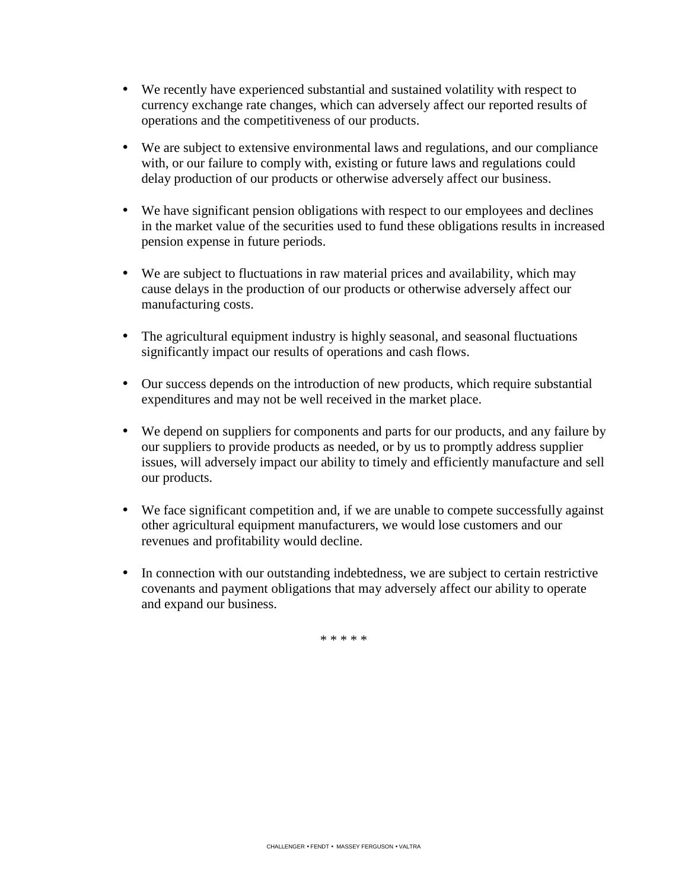- We recently have experienced substantial and sustained volatility with respect to currency exchange rate changes, which can adversely affect our reported results of operations and the competitiveness of our products.
- We are subject to extensive environmental laws and regulations, and our compliance with, or our failure to comply with, existing or future laws and regulations could delay production of our products or otherwise adversely affect our business.
- We have significant pension obligations with respect to our employees and declines in the market value of the securities used to fund these obligations results in increased pension expense in future periods.
- We are subject to fluctuations in raw material prices and availability, which may cause delays in the production of our products or otherwise adversely affect our manufacturing costs.
- The agricultural equipment industry is highly seasonal, and seasonal fluctuations significantly impact our results of operations and cash flows.
- Our success depends on the introduction of new products, which require substantial expenditures and may not be well received in the market place.
- We depend on suppliers for components and parts for our products, and any failure by our suppliers to provide products as needed, or by us to promptly address supplier issues, will adversely impact our ability to timely and efficiently manufacture and sell our products.
- We face significant competition and, if we are unable to compete successfully against other agricultural equipment manufacturers, we would lose customers and our revenues and profitability would decline.
- In connection with our outstanding indebtedness, we are subject to certain restrictive covenants and payment obligations that may adversely affect our ability to operate and expand our business.

\* \* \* \* \*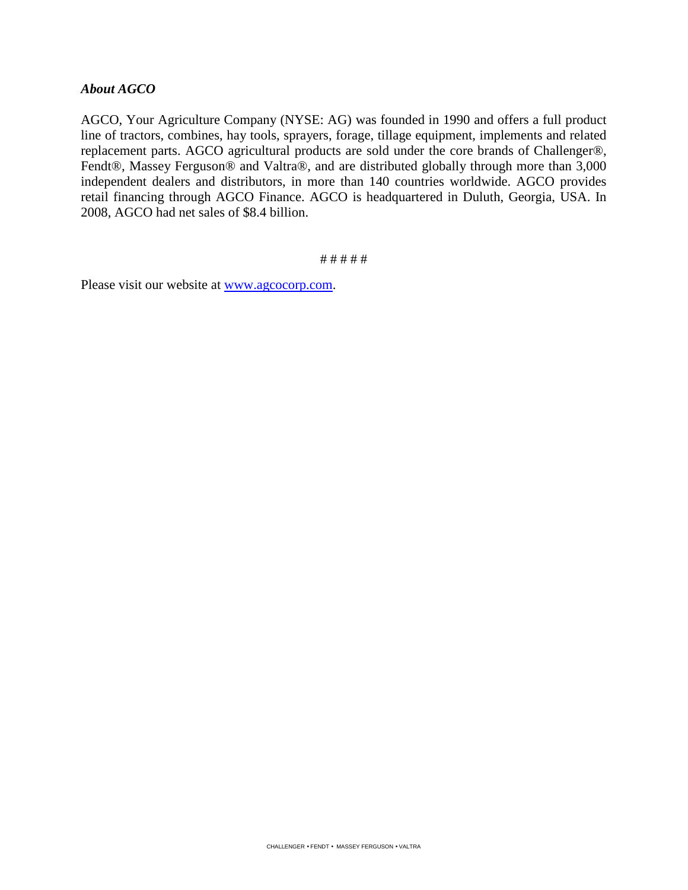### *About AGCO*

AGCO, Your Agriculture Company (NYSE: AG) was founded in 1990 and offers a full product line of tractors, combines, hay tools, sprayers, forage, tillage equipment, implements and related replacement parts. AGCO agricultural products are sold under the core brands of Challenger®, Fendt®, Massey Ferguson® and Valtra®, and are distributed globally through more than 3,000 independent dealers and distributors, in more than 140 countries worldwide. AGCO provides retail financing through AGCO Finance. AGCO is headquartered in Duluth, Georgia, USA. In 2008, AGCO had net sales of \$8.4 billion.

# # # # #

Please visit our website at <u>www.agcocorp.com</u>.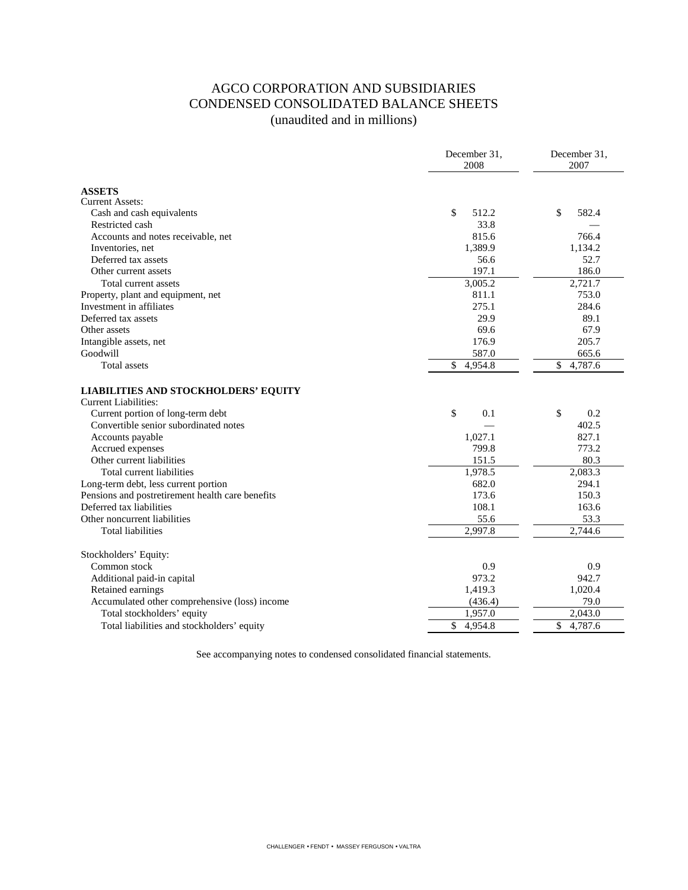# AGCO CORPORATION AND SUBSIDIARIES CONDENSED CONSOLIDATED BALANCE SHEETS (unaudited and in millions)

|                                                                            | December 31,<br>2008 | December 31,<br>2007 |
|----------------------------------------------------------------------------|----------------------|----------------------|
| <b>ASSETS</b>                                                              |                      |                      |
| <b>Current Assets:</b>                                                     |                      |                      |
| Cash and cash equivalents                                                  | \$<br>512.2          | \$<br>582.4          |
| Restricted cash                                                            | 33.8                 |                      |
| Accounts and notes receivable, net                                         | 815.6                | 766.4                |
| Inventories, net                                                           | 1,389.9              | 1,134.2              |
| Deferred tax assets                                                        | 56.6                 | 52.7                 |
| Other current assets                                                       | 197.1                | 186.0                |
| Total current assets                                                       | 3,005.2              | 2,721.7              |
| Property, plant and equipment, net                                         | 811.1                | 753.0                |
| Investment in affiliates                                                   | 275.1                | 284.6                |
| Deferred tax assets                                                        | 29.9                 | 89.1                 |
| Other assets                                                               | 69.6                 | 67.9                 |
| Intangible assets, net                                                     | 176.9                | 205.7                |
| Goodwill                                                                   | 587.0                | 665.6                |
| Total assets                                                               | \$<br>4,954.8        | \$<br>4,787.6        |
| <b>LIABILITIES AND STOCKHOLDERS' EQUITY</b><br><b>Current Liabilities:</b> |                      |                      |
| Current portion of long-term debt                                          | \$<br>0.1            | \$<br>0.2            |
| Convertible senior subordinated notes                                      |                      | 402.5                |
| Accounts payable                                                           | 1,027.1              | 827.1                |
| Accrued expenses                                                           | 799.8                | 773.2                |
| Other current liabilities                                                  | 151.5                | 80.3                 |
| Total current liabilities                                                  | 1,978.5              | 2,083.3              |
| Long-term debt, less current portion                                       | 682.0                | 294.1                |
| Pensions and postretirement health care benefits                           | 173.6                | 150.3                |
| Deferred tax liabilities                                                   | 108.1                | 163.6                |
| Other noncurrent liabilities                                               | 55.6                 | 53.3                 |
| <b>Total liabilities</b>                                                   | 2.997.8              | 2.744.6              |
| Stockholders' Equity:                                                      |                      |                      |
| Common stock                                                               | 0.9                  | 0.9                  |
| Additional paid-in capital                                                 | 973.2                | 942.7                |
| Retained earnings                                                          | 1,419.3              | 1,020.4              |
| Accumulated other comprehensive (loss) income                              | (436.4)              | 79.0                 |
| Total stockholders' equity                                                 | 1,957.0              | 2,043.0              |
| Total liabilities and stockholders' equity                                 | \$<br>4,954.8        | \$<br>4,787.6        |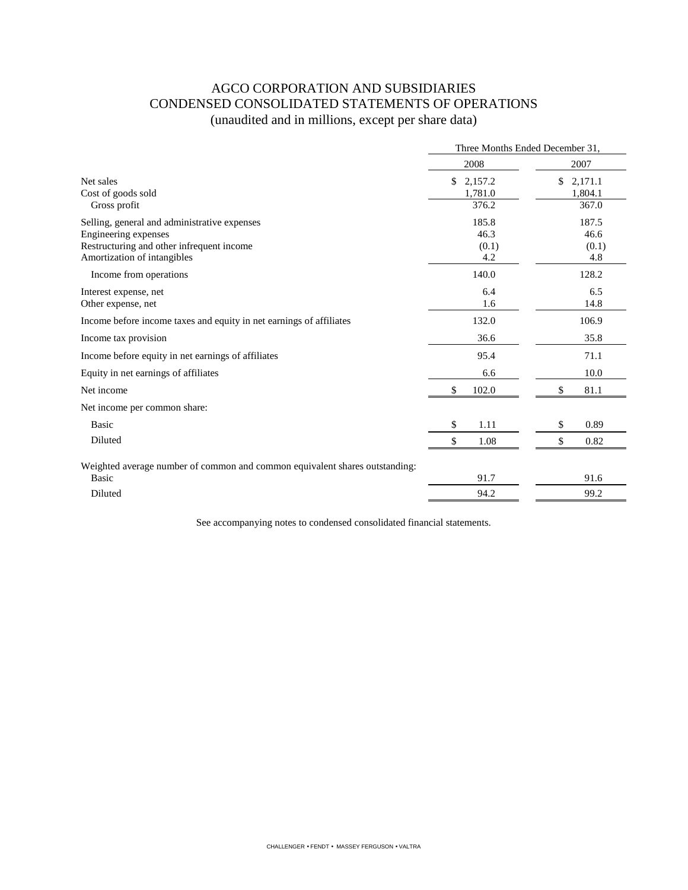# AGCO CORPORATION AND SUBSIDIARIES CONDENSED CONSOLIDATED STATEMENTS OF OPERATIONS (unaudited and in millions, except per share data)

|                                                                             | Three Months Ended December 31, |               |  |  |
|-----------------------------------------------------------------------------|---------------------------------|---------------|--|--|
|                                                                             | 2008                            | 2007          |  |  |
| Net sales                                                                   | \$<br>2,157.2                   | \$<br>2,171.1 |  |  |
| Cost of goods sold                                                          | 1,781.0                         | 1,804.1       |  |  |
| Gross profit                                                                | 376.2                           | 367.0         |  |  |
| Selling, general and administrative expenses                                | 185.8                           | 187.5         |  |  |
| Engineering expenses                                                        | 46.3                            | 46.6          |  |  |
| Restructuring and other infrequent income                                   | (0.1)                           | (0.1)         |  |  |
| Amortization of intangibles                                                 | 4.2                             | 4.8           |  |  |
| Income from operations                                                      | 140.0                           | 128.2         |  |  |
| Interest expense, net                                                       | 6.4                             | 6.5           |  |  |
| Other expense, net                                                          | 1.6                             | 14.8          |  |  |
| Income before income taxes and equity in net earnings of affiliates         | 132.0                           | 106.9         |  |  |
| Income tax provision                                                        | 36.6                            | 35.8          |  |  |
| Income before equity in net earnings of affiliates                          | 95.4                            | 71.1          |  |  |
| Equity in net earnings of affiliates                                        | 6.6                             | 10.0          |  |  |
| Net income                                                                  | \$<br>102.0                     | \$<br>81.1    |  |  |
| Net income per common share:                                                |                                 |               |  |  |
| <b>Basic</b>                                                                | \$<br>1.11                      | 0.89<br>\$    |  |  |
| Diluted                                                                     | \$<br>1.08                      | \$<br>0.82    |  |  |
| Weighted average number of common and common equivalent shares outstanding: |                                 |               |  |  |
| <b>Basic</b>                                                                | 91.7                            | 91.6          |  |  |
| Diluted                                                                     | 94.2                            | 99.2          |  |  |
|                                                                             |                                 |               |  |  |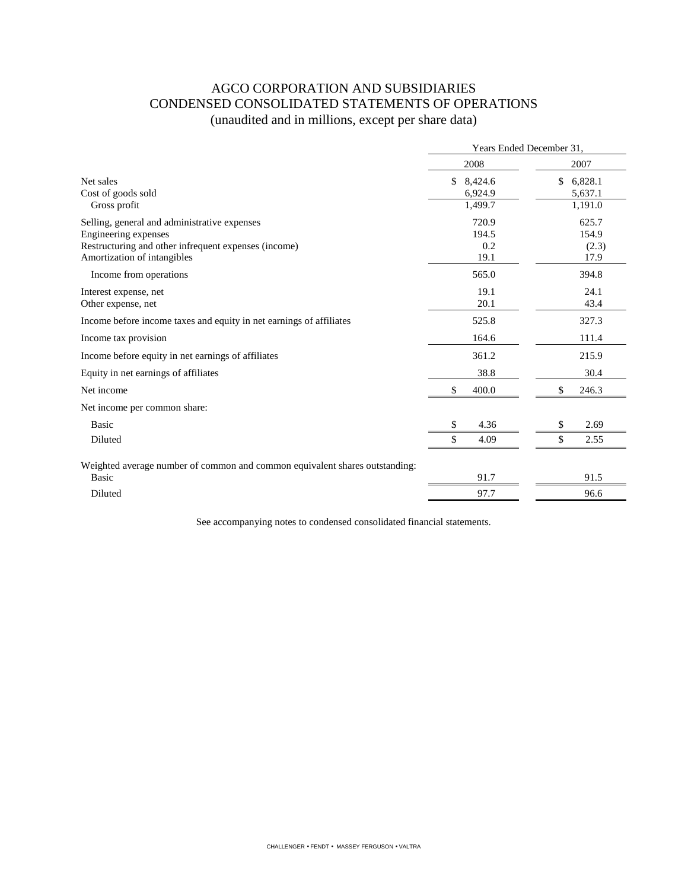# AGCO CORPORATION AND SUBSIDIARIES CONDENSED CONSOLIDATED STATEMENTS OF OPERATIONS (unaudited and in millions, except per share data)

|                                                                             | Years Ended December 31. |               |  |
|-----------------------------------------------------------------------------|--------------------------|---------------|--|
|                                                                             | 2008                     | 2007          |  |
| Net sales                                                                   | \$<br>8,424.6            | \$<br>6,828.1 |  |
| Cost of goods sold                                                          | 6,924.9                  | 5,637.1       |  |
| Gross profit                                                                | 1,499.7                  | 1,191.0       |  |
| Selling, general and administrative expenses                                | 720.9                    | 625.7         |  |
| Engineering expenses                                                        | 194.5                    | 154.9         |  |
| Restructuring and other infrequent expenses (income)                        | 0.2                      | (2.3)         |  |
| Amortization of intangibles                                                 | 19.1                     | 17.9          |  |
| Income from operations                                                      | 565.0                    | 394.8         |  |
| Interest expense, net                                                       | 19.1                     | 24.1          |  |
| Other expense, net                                                          | 20.1                     | 43.4          |  |
| Income before income taxes and equity in net earnings of affiliates         | 525.8                    | 327.3         |  |
| Income tax provision                                                        | 164.6                    | 111.4         |  |
| Income before equity in net earnings of affiliates                          | 361.2                    | 215.9         |  |
| Equity in net earnings of affiliates                                        | 38.8                     | 30.4          |  |
| Net income                                                                  | \$<br>400.0              | 246.3         |  |
| Net income per common share:                                                |                          |               |  |
| Basic                                                                       | 4.36<br>\$               | 2.69<br>\$    |  |
| Diluted                                                                     | \$<br>4.09               | \$<br>2.55    |  |
| Weighted average number of common and common equivalent shares outstanding: |                          |               |  |
| Basic                                                                       | 91.7                     | 91.5          |  |
| Diluted                                                                     | 97.7                     | 96.6          |  |
|                                                                             |                          |               |  |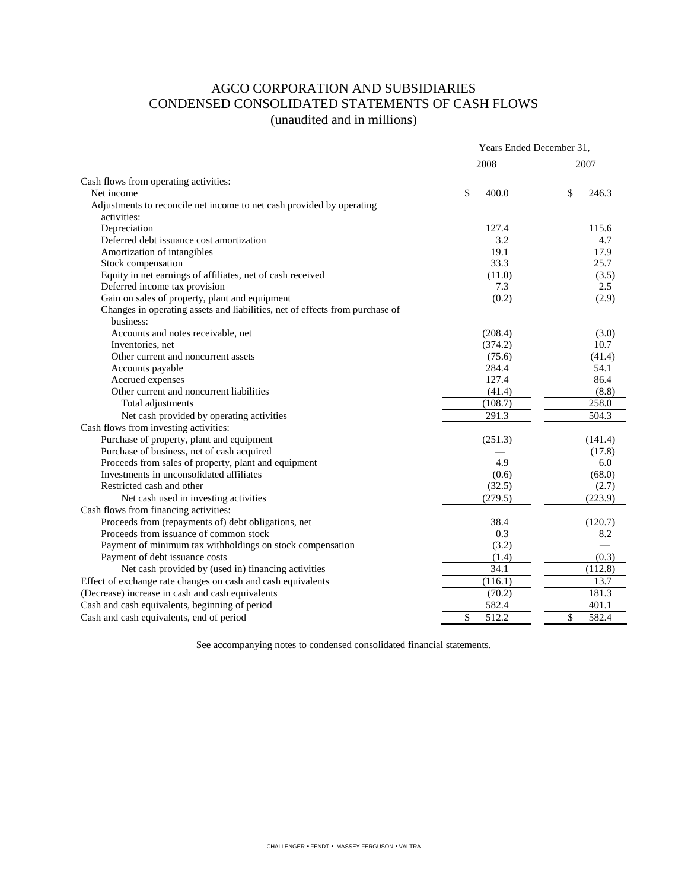### AGCO CORPORATION AND SUBSIDIARIES CONDENSED CONSOLIDATED STATEMENTS OF CASH FLOWS (unaudited and in millions)

|                                                                                              | Years Ended December 31, |                |  |
|----------------------------------------------------------------------------------------------|--------------------------|----------------|--|
|                                                                                              | 2008                     | 2007           |  |
| Cash flows from operating activities:                                                        |                          |                |  |
| Net income                                                                                   | \$<br>400.0              | \$<br>246.3    |  |
| Adjustments to reconcile net income to net cash provided by operating<br>activities:         |                          |                |  |
| Depreciation                                                                                 | 127.4                    | 115.6          |  |
| Deferred debt issuance cost amortization                                                     | 3.2                      | 4.7            |  |
| Amortization of intangibles                                                                  | 19.1                     | 17.9           |  |
| Stock compensation                                                                           | 33.3                     | 25.7           |  |
| Equity in net earnings of affiliates, net of cash received                                   | (11.0)                   | (3.5)          |  |
| Deferred income tax provision                                                                | 7.3                      | 2.5            |  |
| Gain on sales of property, plant and equipment                                               | (0.2)                    | (2.9)          |  |
| Changes in operating assets and liabilities, net of effects from purchase of<br>business:    |                          |                |  |
| Accounts and notes receivable, net                                                           | (208.4)                  | (3.0)          |  |
| Inventories, net                                                                             | (374.2)                  | 10.7           |  |
| Other current and noncurrent assets                                                          | (75.6)                   | (41.4)         |  |
| Accounts payable                                                                             | 284.4                    | 54.1           |  |
| Accrued expenses                                                                             | 127.4                    | 86.4           |  |
| Other current and noncurrent liabilities                                                     | (41.4)                   | (8.8)          |  |
| Total adjustments                                                                            | (108.7)                  | 258.0          |  |
| Net cash provided by operating activities                                                    | 291.3                    | 504.3          |  |
| Cash flows from investing activities:                                                        |                          |                |  |
| Purchase of property, plant and equipment                                                    |                          |                |  |
| Purchase of business, net of cash acquired                                                   | (251.3)                  | (141.4)        |  |
| Proceeds from sales of property, plant and equipment                                         | 4.9                      | (17.8)<br>6.0  |  |
| Investments in unconsolidated affiliates                                                     | (0.6)                    | (68.0)         |  |
| Restricted cash and other                                                                    | (32.5)                   | (2.7)          |  |
| Net cash used in investing activities                                                        | (279.5)                  | (223.9)        |  |
|                                                                                              |                          |                |  |
| Cash flows from financing activities:<br>Proceeds from (repayments of) debt obligations, net | 38.4                     |                |  |
| Proceeds from issuance of common stock                                                       | 0.3                      | (120.7)<br>8.2 |  |
|                                                                                              |                          |                |  |
| Payment of minimum tax withholdings on stock compensation                                    | (3.2)                    |                |  |
| Payment of debt issuance costs                                                               | (1.4)<br>34.1            | (0.3)          |  |
| Net cash provided by (used in) financing activities                                          |                          | (112.8)        |  |
| Effect of exchange rate changes on cash and cash equivalents                                 | (116.1)                  | 13.7           |  |
| (Decrease) increase in cash and cash equivalents                                             | (70.2)                   | 181.3          |  |
| Cash and cash equivalents, beginning of period                                               | 582.4                    | 401.1          |  |
| Cash and cash equivalents, end of period                                                     | \$<br>512.2              | \$<br>582.4    |  |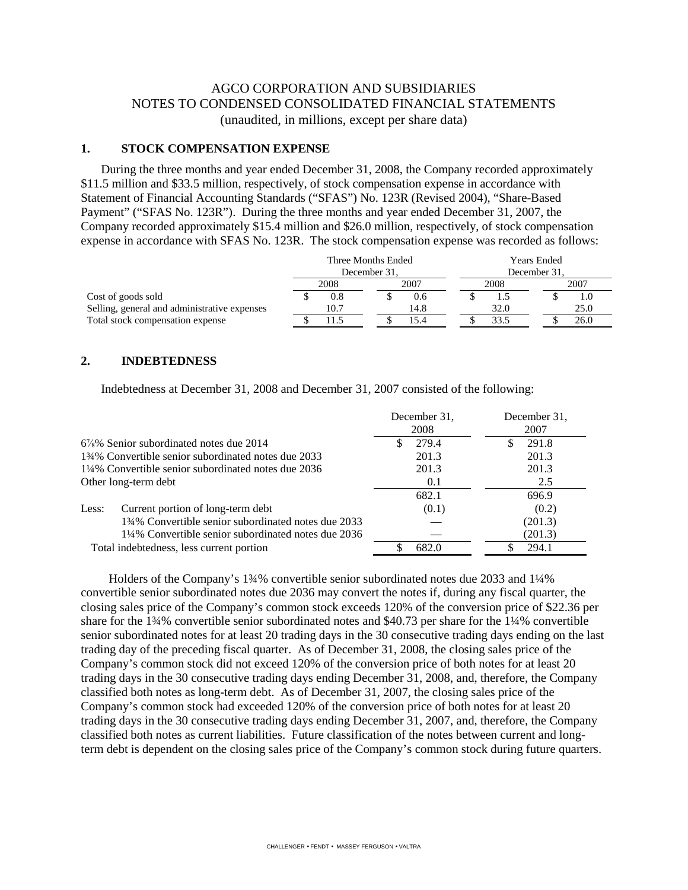### AGCO CORPORATION AND SUBSIDIARIES NOTES TO CONDENSED CONSOLIDATED FINANCIAL STATEMENTS (unaudited, in millions, except per share data)

#### **1. STOCK COMPENSATION EXPENSE**

During the three months and year ended December 31, 2008, the Company recorded approximately \$11.5 million and \$33.5 million, respectively, of stock compensation expense in accordance with Statement of Financial Accounting Standards ("SFAS") No. 123R (Revised 2004), "Share-Based Payment" ("SFAS No. 123R"). During the three months and year ended December 31, 2007, the Company recorded approximately \$15.4 million and \$26.0 million, respectively, of stock compensation expense in accordance with SFAS No. 123R. The stock compensation expense was recorded as follows:

|                                              | Three Months Ended<br>December 31. |  |      |  | Years Ended<br>December 31. |      |      |
|----------------------------------------------|------------------------------------|--|------|--|-----------------------------|------|------|
|                                              | 2008<br>2007                       |  | 2008 |  |                             | 2007 |      |
| Cost of goods sold                           | 0.8                                |  | 0.6  |  |                             |      |      |
| Selling, general and administrative expenses | 10.7                               |  | 14.8 |  | 32.0                        |      | 25.0 |
| Total stock compensation expense             |                                    |  | 15.4 |  | 33.5                        |      | 26.0 |

#### **2. INDEBTEDNESS**

Indebtedness at December 31, 2008 and December 31, 2007 consisted of the following:

|                                                     | December 31.<br>2008 | December 31.<br>2007 |
|-----------------------------------------------------|----------------------|----------------------|
| $6\frac{7}{8}\%$ Senior subordinated notes due 2014 | 279.4<br>\$.         | 291.8                |
| 134% Convertible senior subordinated notes due 2033 | 201.3                | 201.3                |
| 1¼% Convertible senior subordinated notes due 2036  | 201.3                | 201.3                |
| Other long-term debt                                | 0.1                  | 2.5                  |
|                                                     | 682.1                | 696.9                |
| Current portion of long-term debt<br>Less:          | (0.1)                | (0.2)                |
| 134% Convertible senior subordinated notes due 2033 |                      | (201.3)              |
| 1¼% Convertible senior subordinated notes due 2036  |                      | (201.3)              |
| Total indebtedness, less current portion            | 682.0                | 294.1                |

 Holders of the Company's 1¾% convertible senior subordinated notes due 2033 and 1¼% convertible senior subordinated notes due 2036 may convert the notes if, during any fiscal quarter, the closing sales price of the Company's common stock exceeds 120% of the conversion price of \$22.36 per share for the 1¾% convertible senior subordinated notes and \$40.73 per share for the 1¼% convertible senior subordinated notes for at least 20 trading days in the 30 consecutive trading days ending on the last trading day of the preceding fiscal quarter. As of December 31, 2008, the closing sales price of the Company's common stock did not exceed 120% of the conversion price of both notes for at least 20 trading days in the 30 consecutive trading days ending December 31, 2008, and, therefore, the Company classified both notes as long-term debt. As of December 31, 2007, the closing sales price of the Company's common stock had exceeded 120% of the conversion price of both notes for at least 20 trading days in the 30 consecutive trading days ending December 31, 2007, and, therefore, the Company classified both notes as current liabilities. Future classification of the notes between current and longterm debt is dependent on the closing sales price of the Company's common stock during future quarters.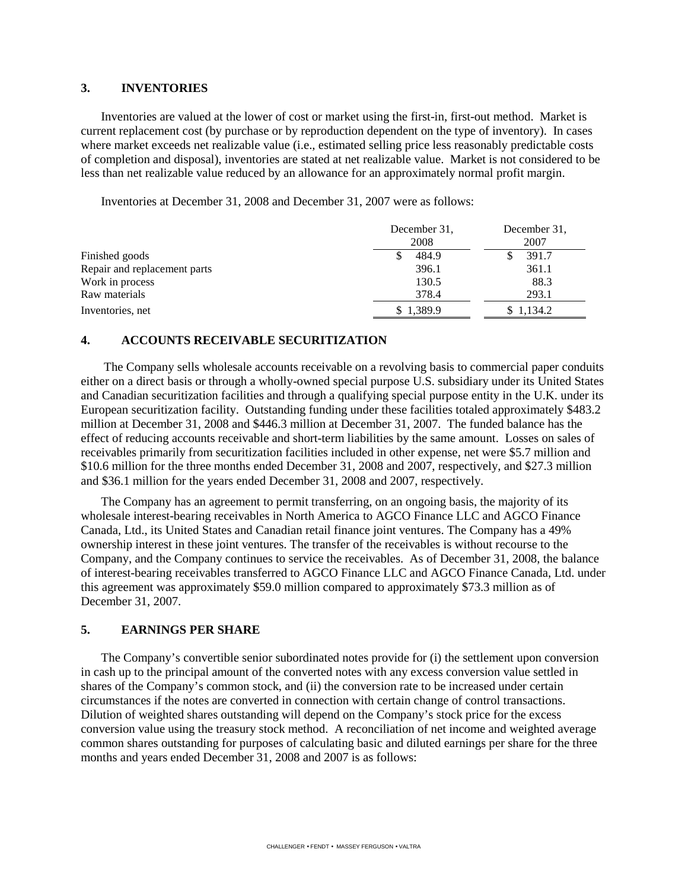#### **3. INVENTORIES**

Inventories are valued at the lower of cost or market using the first-in, first-out method. Market is current replacement cost (by purchase or by reproduction dependent on the type of inventory). In cases where market exceeds net realizable value (i.e., estimated selling price less reasonably predictable costs of completion and disposal), inventories are stated at net realizable value. Market is not considered to be less than net realizable value reduced by an allowance for an approximately normal profit margin.

Inventories at December 31, 2008 and December 31, 2007 were as follows:

|                              | December 31.<br>2008 | December 31,<br>2007 |
|------------------------------|----------------------|----------------------|
| Finished goods               | 484.9                | 391.7                |
| Repair and replacement parts | 396.1                | 361.1                |
| Work in process              | 130.5                | 88.3                 |
| Raw materials                | 378.4                | 293.1                |
| Inventories, net             | \$1,389.9            | \$1,134.2            |

### **4. ACCOUNTS RECEIVABLE SECURITIZATION**

The Company sells wholesale accounts receivable on a revolving basis to commercial paper conduits either on a direct basis or through a wholly-owned special purpose U.S. subsidiary under its United States and Canadian securitization facilities and through a qualifying special purpose entity in the U.K. under its European securitization facility. Outstanding funding under these facilities totaled approximately \$483.2 million at December 31, 2008 and \$446.3 million at December 31, 2007. The funded balance has the effect of reducing accounts receivable and short-term liabilities by the same amount. Losses on sales of receivables primarily from securitization facilities included in other expense, net were \$5.7 million and \$10.6 million for the three months ended December 31, 2008 and 2007, respectively, and \$27.3 million and \$36.1 million for the years ended December 31, 2008 and 2007, respectively.

The Company has an agreement to permit transferring, on an ongoing basis, the majority of its wholesale interest-bearing receivables in North America to AGCO Finance LLC and AGCO Finance Canada, Ltd., its United States and Canadian retail finance joint ventures. The Company has a 49% ownership interest in these joint ventures. The transfer of the receivables is without recourse to the Company, and the Company continues to service the receivables. As of December 31, 2008, the balance of interest-bearing receivables transferred to AGCO Finance LLC and AGCO Finance Canada, Ltd. under this agreement was approximately \$59.0 million compared to approximately \$73.3 million as of December 31, 2007.

### **5. EARNINGS PER SHARE**

The Company's convertible senior subordinated notes provide for (i) the settlement upon conversion in cash up to the principal amount of the converted notes with any excess conversion value settled in shares of the Company's common stock, and (ii) the conversion rate to be increased under certain circumstances if the notes are converted in connection with certain change of control transactions. Dilution of weighted shares outstanding will depend on the Company's stock price for the excess conversion value using the treasury stock method. A reconciliation of net income and weighted average common shares outstanding for purposes of calculating basic and diluted earnings per share for the three months and years ended December 31, 2008 and 2007 is as follows: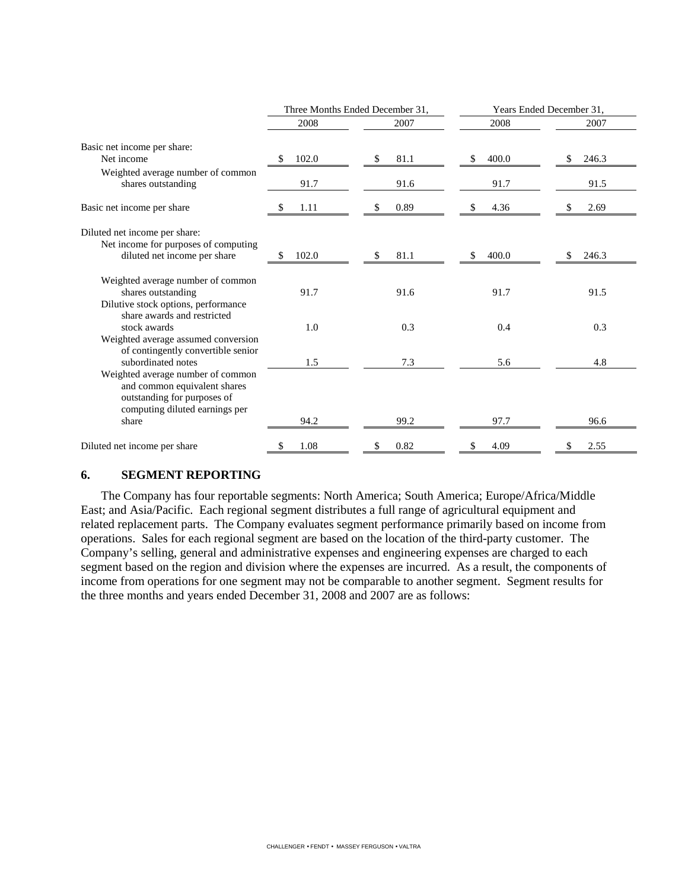|                                                                                               |             | Three Months Ended December 31, | Years Ended December 31, |       |  |
|-----------------------------------------------------------------------------------------------|-------------|---------------------------------|--------------------------|-------|--|
|                                                                                               | 2008        | 2007                            | 2008                     | 2007  |  |
| Basic net income per share:                                                                   |             |                                 |                          |       |  |
| Net income                                                                                    | 102.0<br>\$ | 81.1<br>\$                      | 400.0<br>\$              | 246.3 |  |
| Weighted average number of common<br>shares outstanding                                       | 91.7        | 91.6                            | 91.7                     | 91.5  |  |
| Basic net income per share                                                                    | 1.11        | 0.89                            | 4.36<br>P.               | 2.69  |  |
| Diluted net income per share:                                                                 |             |                                 |                          |       |  |
| Net income for purposes of computing<br>diluted net income per share                          | 102.0<br>S  | 81.1<br>\$                      | 400.0<br>\$              | 246.3 |  |
| Weighted average number of common<br>shares outstanding                                       | 91.7        | 91.6                            | 91.7                     | 91.5  |  |
| Dilutive stock options, performance<br>share awards and restricted                            |             |                                 |                          |       |  |
| stock awards<br>Weighted average assumed conversion                                           | 1.0         | 0.3                             | 0.4                      | 0.3   |  |
| of contingently convertible senior<br>subordinated notes                                      |             |                                 |                          |       |  |
| Weighted average number of common                                                             | 1.5         | 7.3                             | 5.6                      | 4.8   |  |
| and common equivalent shares<br>outstanding for purposes of<br>computing diluted earnings per |             |                                 |                          |       |  |
| share                                                                                         | 94.2        | 99.2                            | 97.7                     | 96.6  |  |
| Diluted net income per share                                                                  | 1.08<br>S   | 0.82<br>S                       | 4.09<br>S                | 2.55  |  |

### **6. SEGMENT REPORTING**

The Company has four reportable segments: North America; South America; Europe/Africa/Middle East; and Asia/Pacific. Each regional segment distributes a full range of agricultural equipment and related replacement parts. The Company evaluates segment performance primarily based on income from operations. Sales for each regional segment are based on the location of the third-party customer. The Company's selling, general and administrative expenses and engineering expenses are charged to each segment based on the region and division where the expenses are incurred. As a result, the components of income from operations for one segment may not be comparable to another segment. Segment results for the three months and years ended December 31, 2008 and 2007 are as follows: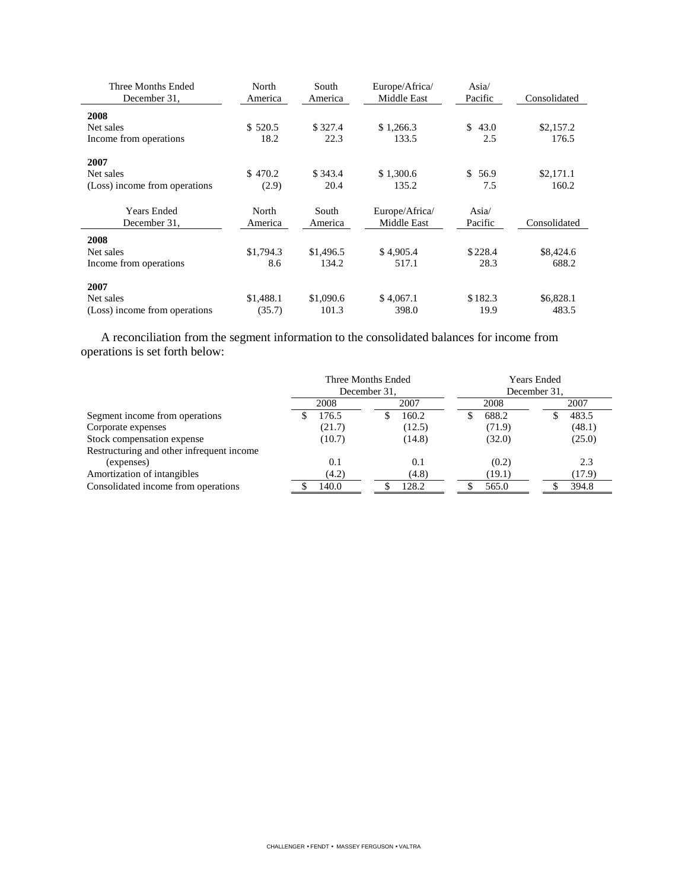| Three Months Ended<br>December 31, | North<br>America | South<br>America | Europe/Africa/<br>Middle East | Asia/<br>Pacific | Consolidated |
|------------------------------------|------------------|------------------|-------------------------------|------------------|--------------|
| 2008                               |                  |                  |                               |                  |              |
| Net sales                          | \$520.5          | \$327.4          | \$1,266.3                     | 43.0<br>\$       | \$2,157.2    |
| Income from operations             | 18.2             | 22.3             | 133.5                         | 2.5              | 176.5        |
| 2007                               |                  |                  |                               |                  |              |
| Net sales                          | \$470.2          | \$343.4          | \$1,300.6                     | \$56.9           | \$2,171.1    |
| (Loss) income from operations      | (2.9)            | 20.4             | 135.2                         | 7.5              | 160.2        |
| <b>Years Ended</b>                 | North            | South            | Europe/Africa/                | Asia/            |              |
| December 31.                       | America          | America          | Middle East                   | Pacific          | Consolidated |
| 2008                               |                  |                  |                               |                  |              |
| Net sales                          | \$1,794.3        | \$1,496.5        | \$4,905.4                     | \$228.4          | \$8,424.6    |
| Income from operations             | 8.6              | 134.2            | 517.1                         | 28.3             | 688.2        |
| 2007                               |                  |                  |                               |                  |              |
| Net sales                          | \$1,488.1        | \$1,090.6        | \$4,067.1                     | \$182.3          | \$6,828.1    |
| (Loss) income from operations      | (35.7)           | 101.3            | 398.0                         | 19.9             | 483.5        |

A reconciliation from the segment information to the consolidated balances for income from operations is set forth below:

|                                           | Three Months Ended<br>December 31. |        |  | <b>Years Ended</b><br>December 31, |  |        |  |        |
|-------------------------------------------|------------------------------------|--------|--|------------------------------------|--|--------|--|--------|
|                                           |                                    | 2008   |  | 2007                               |  | 2008   |  | 2007   |
| Segment income from operations            |                                    | 176.5  |  | 160.2                              |  | 688.2  |  | 483.5  |
| Corporate expenses                        |                                    | (21.7) |  | (12.5)                             |  | (71.9) |  | (48.1) |
| Stock compensation expense                |                                    | (10.7) |  | (14.8)                             |  | (32.0) |  | (25.0) |
| Restructuring and other infrequent income |                                    |        |  |                                    |  |        |  |        |
| (expenses)                                |                                    | 0.1    |  | 0.1                                |  | (0.2)  |  | 2.3    |
| Amortization of intangibles               |                                    | (4.2)  |  | (4.8)                              |  | (19.1) |  | (17.9) |
| Consolidated income from operations       |                                    | 140.0  |  | 128.2                              |  | 565.0  |  | 394.8  |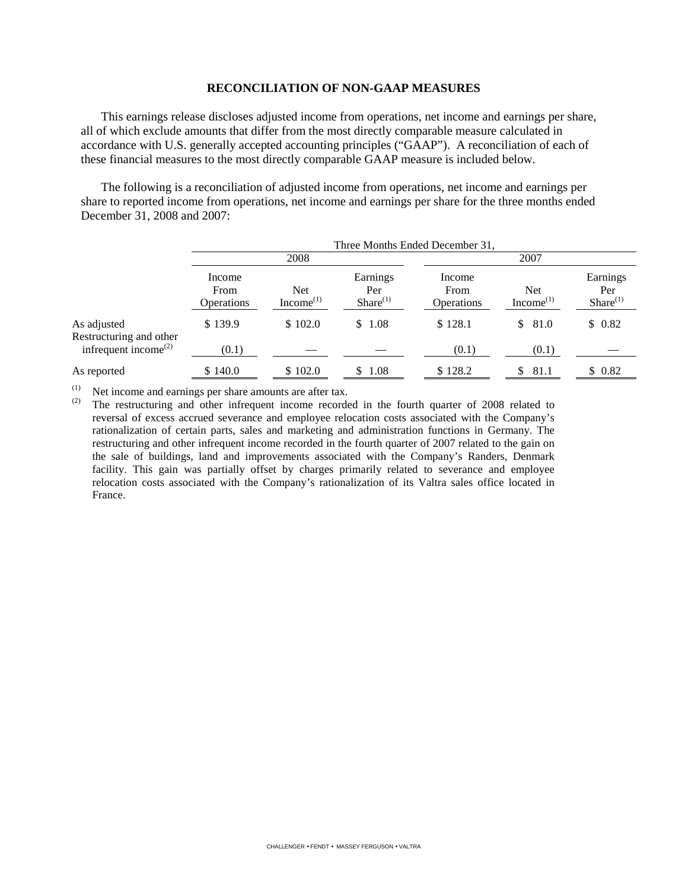#### **RECONCILIATION OF NON-GAAP MEASURES**

This earnings release discloses adjusted income from operations, net income and earnings per share, all of which exclude amounts that differ from the most directly comparable measure calculated in accordance with U.S. generally accepted accounting principles ("GAAP"). A reconciliation of each of these financial measures to the most directly comparable GAAP measure is included below.

The following is a reconciliation of adjusted income from operations, net income and earnings per share to reported income from operations, net income and earnings per share for the three months ended December 31, 2008 and 2007:

|                                                                                         | Three Months Ended December 31, |                        |                                  |                              |                                     |                                  |  |  |
|-----------------------------------------------------------------------------------------|---------------------------------|------------------------|----------------------------------|------------------------------|-------------------------------------|----------------------------------|--|--|
|                                                                                         |                                 | 2008                   |                                  |                              | 2007                                |                                  |  |  |
|                                                                                         | Income<br>From<br>Operations    | Net<br>Income $^{(1)}$ | Earnings<br>Per<br>$Share^{(1)}$ | Income<br>From<br>Operations | <b>Net</b><br>Income <sup>(1)</sup> | Earnings<br>Per<br>$Share^{(1)}$ |  |  |
| As adjusted<br>Restructuring and other<br>infrequent income <sup><math>(2)</math></sup> | \$139.9<br>(0.1)                | \$102.0                | \$1.08                           | \$128.1<br>(0.1)             | 81.0<br>\$<br>(0.1)                 | \$0.82                           |  |  |
| As reported                                                                             | \$140.0                         | \$102.0                | 1.08                             | \$128.2                      | 81.1<br>S.                          | \$0.82                           |  |  |

(1) Net income and earnings per share amounts are after tax.<br>(2) The restructuring and other infrequent income recorder

The restructuring and other infrequent income recorded in the fourth quarter of 2008 related to reversal of excess accrued severance and employee relocation costs associated with the Company's rationalization of certain parts, sales and marketing and administration functions in Germany. The restructuring and other infrequent income recorded in the fourth quarter of 2007 related to the gain on the sale of buildings, land and improvements associated with the Company's Randers, Denmark facility. This gain was partially offset by charges primarily related to severance and employee relocation costs associated with the Company's rationalization of its Valtra sales office located in France.